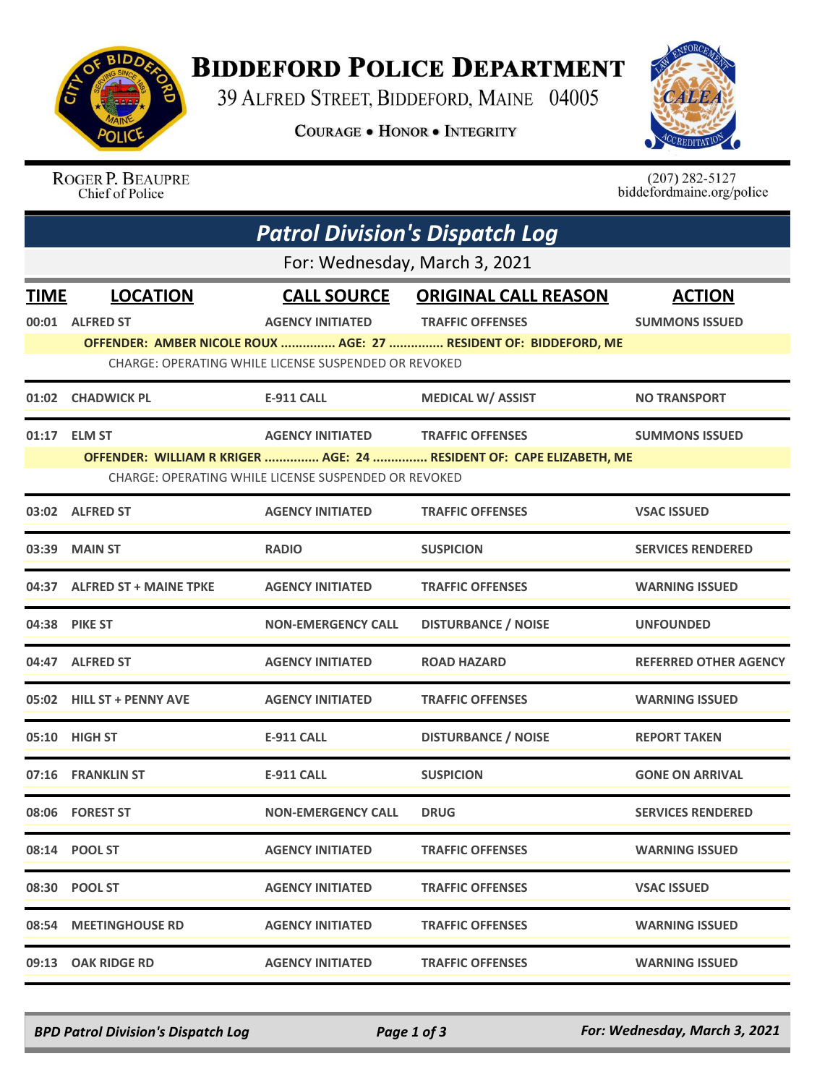

## **BIDDEFORD POLICE DEPARTMENT**

39 ALFRED STREET, BIDDEFORD, MAINE 04005

**COURAGE . HONOR . INTEGRITY** 



ROGER P. BEAUPRE Chief of Police

 $(207)$  282-5127<br>biddefordmaine.org/police

| <b>Patrol Division's Dispatch Log</b><br>For: Wednesday, March 3, 2021 |                              |                                                      |                                                                                                 |                              |  |  |  |
|------------------------------------------------------------------------|------------------------------|------------------------------------------------------|-------------------------------------------------------------------------------------------------|------------------------------|--|--|--|
|                                                                        |                              |                                                      |                                                                                                 |                              |  |  |  |
|                                                                        | 00:01 ALFRED ST              | <b>AGENCY INITIATED</b>                              | <b>TRAFFIC OFFENSES</b>                                                                         | <b>SUMMONS ISSUED</b>        |  |  |  |
|                                                                        |                              | CHARGE: OPERATING WHILE LICENSE SUSPENDED OR REVOKED | OFFENDER: AMBER NICOLE ROUX  AGE: 27  RESIDENT OF: BIDDEFORD, ME                                |                              |  |  |  |
|                                                                        | 01:02 CHADWICK PL            | E-911 CALL                                           | <b>MEDICAL W/ ASSIST</b>                                                                        | <b>NO TRANSPORT</b>          |  |  |  |
|                                                                        |                              |                                                      |                                                                                                 |                              |  |  |  |
|                                                                        | 01:17 ELM ST                 | <b>AGENCY INITIATED</b>                              | <b>TRAFFIC OFFENSES</b><br>OFFENDER: WILLIAM R KRIGER  AGE: 24  RESIDENT OF: CAPE ELIZABETH, ME | <b>SUMMONS ISSUED</b>        |  |  |  |
|                                                                        |                              | CHARGE: OPERATING WHILE LICENSE SUSPENDED OR REVOKED |                                                                                                 |                              |  |  |  |
|                                                                        | 03:02 ALFRED ST              | <b>AGENCY INITIATED</b>                              | <b>TRAFFIC OFFENSES</b>                                                                         | <b>VSAC ISSUED</b>           |  |  |  |
|                                                                        | 03:39 MAIN ST                | <b>RADIO</b>                                         | <b>SUSPICION</b>                                                                                | <b>SERVICES RENDERED</b>     |  |  |  |
|                                                                        | 04:37 ALFRED ST + MAINE TPKE | <b>AGENCY INITIATED</b>                              | <b>TRAFFIC OFFENSES</b>                                                                         | <b>WARNING ISSUED</b>        |  |  |  |
|                                                                        | 04:38 PIKE ST                | <b>NON-EMERGENCY CALL</b>                            | <b>DISTURBANCE / NOISE</b>                                                                      | <b>UNFOUNDED</b>             |  |  |  |
|                                                                        | 04:47 ALFRED ST              | <b>AGENCY INITIATED</b>                              | <b>ROAD HAZARD</b>                                                                              | <b>REFERRED OTHER AGENCY</b> |  |  |  |
|                                                                        | 05:02 HILL ST + PENNY AVE    | <b>AGENCY INITIATED</b>                              | <b>TRAFFIC OFFENSES</b>                                                                         | <b>WARNING ISSUED</b>        |  |  |  |
| 05:10                                                                  | <b>HIGH ST</b>               | <b>E-911 CALL</b>                                    | <b>DISTURBANCE / NOISE</b>                                                                      | <b>REPORT TAKEN</b>          |  |  |  |
|                                                                        | 07:16 FRANKLIN ST            | E-911 CALL                                           | <b>SUSPICION</b>                                                                                | <b>GONE ON ARRIVAL</b>       |  |  |  |
|                                                                        | 08:06 FOREST ST              | <b>NON-EMERGENCY CALL</b>                            | <b>DRUG</b>                                                                                     | <b>SERVICES RENDERED</b>     |  |  |  |
|                                                                        | 08:14 POOL ST                | <b>AGENCY INITIATED</b>                              | <b>TRAFFIC OFFENSES</b>                                                                         | <b>WARNING ISSUED</b>        |  |  |  |
|                                                                        | 08:30 POOL ST                | <b>AGENCY INITIATED</b>                              | <b>TRAFFIC OFFENSES</b>                                                                         | <b>VSAC ISSUED</b>           |  |  |  |
|                                                                        | 08:54 MEETINGHOUSE RD        | <b>AGENCY INITIATED</b>                              | <b>TRAFFIC OFFENSES</b>                                                                         | <b>WARNING ISSUED</b>        |  |  |  |
|                                                                        | 09:13 OAK RIDGE RD           | <b>AGENCY INITIATED</b>                              | <b>TRAFFIC OFFENSES</b>                                                                         | <b>WARNING ISSUED</b>        |  |  |  |

*BPD Patrol Division's Dispatch Log Page 1 of 3 For: Wednesday, March 3, 2021*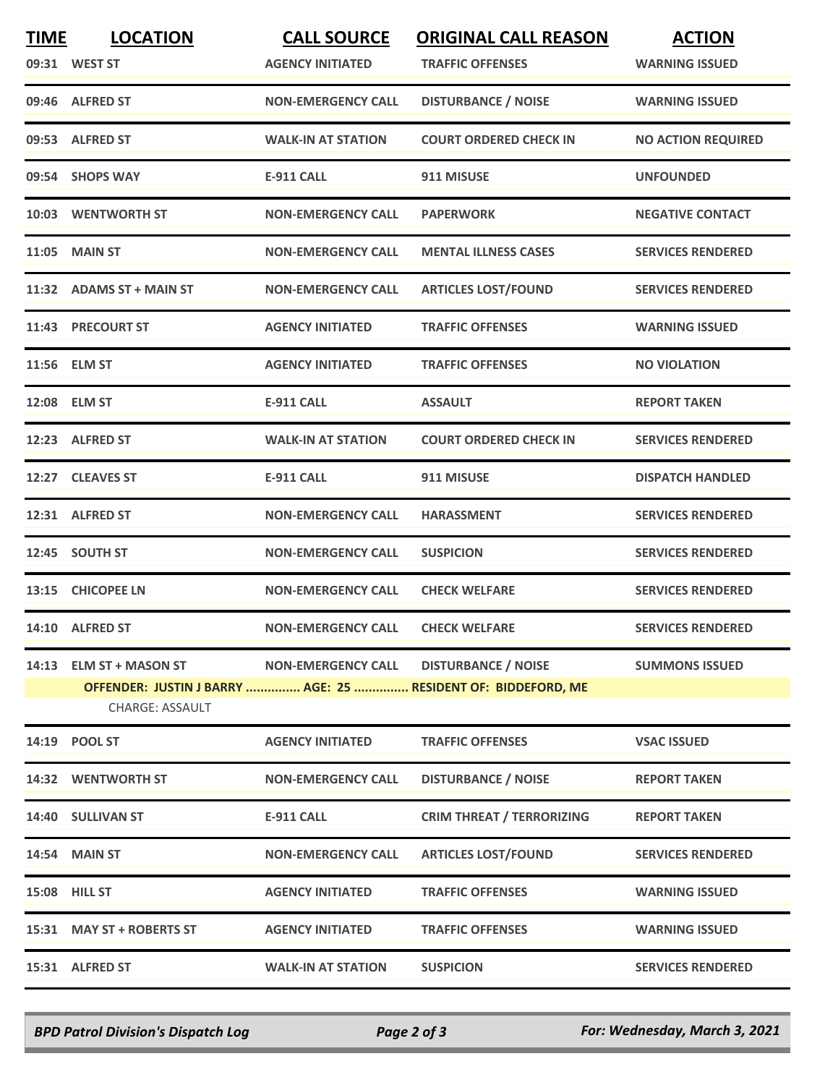| <b>TIME</b> | <b>LOCATION</b><br>09:31 WEST ST           | <b>CALL SOURCE</b><br><b>AGENCY INITIATED</b> | <b>ORIGINAL CALL REASON</b><br><b>TRAFFIC OFFENSES</b>                                      | <b>ACTION</b><br><b>WARNING ISSUED</b> |
|-------------|--------------------------------------------|-----------------------------------------------|---------------------------------------------------------------------------------------------|----------------------------------------|
|             | 09:46 ALFRED ST                            | <b>NON-EMERGENCY CALL</b>                     | <b>DISTURBANCE / NOISE</b>                                                                  | <b>WARNING ISSUED</b>                  |
|             | 09:53 ALFRED ST                            | <b>WALK-IN AT STATION</b>                     | <b>COURT ORDERED CHECK IN</b>                                                               | <b>NO ACTION REQUIRED</b>              |
|             | 09:54 SHOPS WAY                            | E-911 CALL                                    | 911 MISUSE                                                                                  | <b>UNFOUNDED</b>                       |
|             | 10:03 WENTWORTH ST                         | <b>NON-EMERGENCY CALL</b>                     | <b>PAPERWORK</b>                                                                            | <b>NEGATIVE CONTACT</b>                |
|             | 11:05 MAIN ST                              | <b>NON-EMERGENCY CALL</b>                     | <b>MENTAL ILLNESS CASES</b>                                                                 | <b>SERVICES RENDERED</b>               |
|             | 11:32 ADAMS ST + MAIN ST                   | <b>NON-EMERGENCY CALL</b>                     | <b>ARTICLES LOST/FOUND</b>                                                                  | <b>SERVICES RENDERED</b>               |
|             | 11:43 PRECOURT ST                          | <b>AGENCY INITIATED</b>                       | <b>TRAFFIC OFFENSES</b>                                                                     | <b>WARNING ISSUED</b>                  |
|             | 11:56 ELM ST                               | <b>AGENCY INITIATED</b>                       | <b>TRAFFIC OFFENSES</b>                                                                     | <b>NO VIOLATION</b>                    |
|             | 12:08 ELM ST                               | <b>E-911 CALL</b>                             | <b>ASSAULT</b>                                                                              | <b>REPORT TAKEN</b>                    |
|             | 12:23 ALFRED ST                            | <b>WALK-IN AT STATION</b>                     | <b>COURT ORDERED CHECK IN</b>                                                               | <b>SERVICES RENDERED</b>               |
|             | 12:27 CLEAVES ST                           | <b>E-911 CALL</b>                             | 911 MISUSE                                                                                  | <b>DISPATCH HANDLED</b>                |
|             | 12:31 ALFRED ST                            | <b>NON-EMERGENCY CALL</b>                     | <b>HARASSMENT</b>                                                                           | <b>SERVICES RENDERED</b>               |
|             | 12:45 SOUTH ST                             | <b>NON-EMERGENCY CALL</b>                     | <b>SUSPICION</b>                                                                            | <b>SERVICES RENDERED</b>               |
|             | 13:15 CHICOPEE LN                          | <b>NON-EMERGENCY CALL</b>                     | <b>CHECK WELFARE</b>                                                                        | <b>SERVICES RENDERED</b>               |
|             | 14:10 ALFRED ST                            | <b>NON-EMERGENCY CALL</b>                     | <b>CHECK WELFARE</b>                                                                        | <b>SERVICES RENDERED</b>               |
|             | 14:13 ELM ST + MASON ST<br>CHARGE: ASSAULT | <b>NON-EMERGENCY CALL</b>                     | <b>DISTURBANCE / NOISE</b><br>OFFENDER: JUSTIN J BARRY  AGE: 25  RESIDENT OF: BIDDEFORD, ME | <b>SUMMONS ISSUED</b>                  |
|             | 14:19 POOL ST                              | <b>AGENCY INITIATED</b>                       | <b>TRAFFIC OFFENSES</b>                                                                     | <b>VSAC ISSUED</b>                     |
|             | 14:32 WENTWORTH ST                         | <b>NON-EMERGENCY CALL</b>                     | <b>DISTURBANCE / NOISE</b>                                                                  | <b>REPORT TAKEN</b>                    |
|             | 14:40 SULLIVAN ST                          | <b>E-911 CALL</b>                             | <b>CRIM THREAT / TERRORIZING</b>                                                            | <b>REPORT TAKEN</b>                    |
|             | 14:54 MAIN ST                              | <b>NON-EMERGENCY CALL</b>                     | <b>ARTICLES LOST/FOUND</b>                                                                  | <b>SERVICES RENDERED</b>               |
|             | 15:08 HILL ST                              | <b>AGENCY INITIATED</b>                       | <b>TRAFFIC OFFENSES</b>                                                                     | <b>WARNING ISSUED</b>                  |
|             | 15:31 MAY ST + ROBERTS ST                  | <b>AGENCY INITIATED</b>                       | <b>TRAFFIC OFFENSES</b>                                                                     | <b>WARNING ISSUED</b>                  |
|             | 15:31 ALFRED ST                            | <b>WALK-IN AT STATION</b>                     | <b>SUSPICION</b>                                                                            | <b>SERVICES RENDERED</b>               |

*BPD Patrol Division's Dispatch Log Page 2 of 3 For: Wednesday, March 3, 2021*